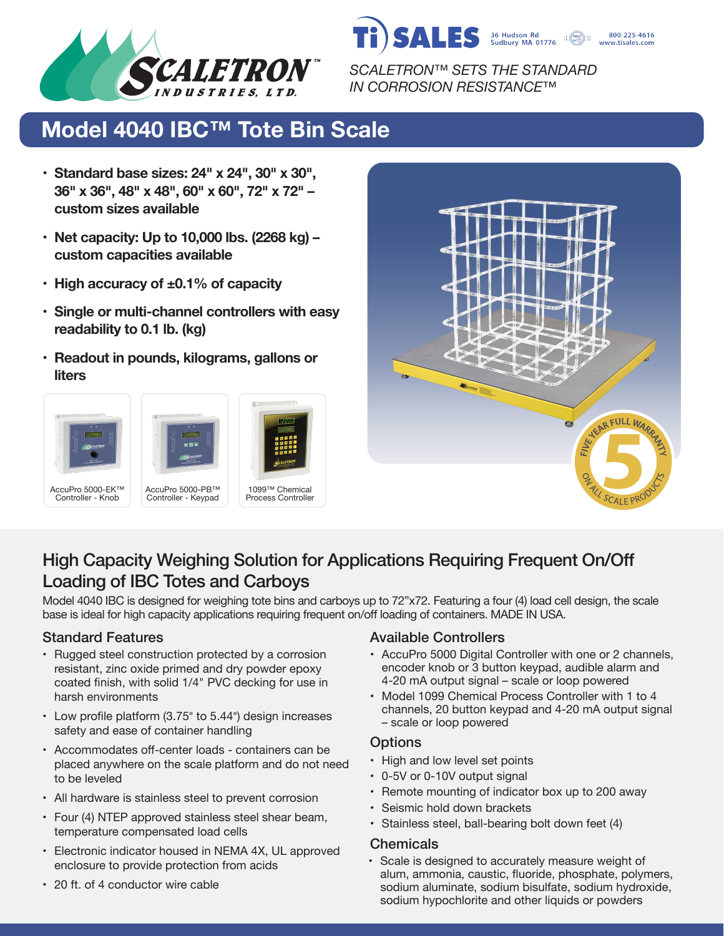



*SCALETRON™ SETS THE STANDARD IN CORROSION RESISTANCE™*

# **Model 4040 IBC™ Tote Bin Scale**

- **• Standard base sizes: 24" x 24", 30" x 30", 36" x 36", 48" x 48", 60" x 60", 72" x 72" – custom sizes available**
- **• Net capacity: Up to 10,000 lbs. (2268 kg) – custom capacities available**
- **• High accuracy of ±0.1% of capacity**
- **• Single or multi-channel controllers with easy readability to 0.1 lb. (kg)**
- **• Readout in pounds, kilograms, gallons or liters**









## High Capacity Weighing Solution for Applications Requiring Frequent On/Off Loading of IBC Totes and Carboys

Model 4040 IBC is designed for weighing tote bins and carboys up to 72"x72. Featuring a four (4) load cell design, the scale base is ideal for high capacity applications requiring frequent on/off loading of containers. MADE IN USA.

- Rugged steel construction protected by a corrosion resistant, zinc oxide primed and dry powder epoxy coated finish, with solid 1/4" PVC decking for use in harsh environments
- Low profile platform (3.75" to 5.44") design increases safety and ease of container handling
- Accommodates off-center loads containers can be placed anywhere on the scale platform and do not need to be leveled
- All hardware is stainless steel to prevent corrosion
- Four (4) NTEP approved stainless steel shear beam, temperature compensated load cells
- Electronic indicator housed in NEMA 4X, UL approved enclosure to provide protection from acids

#### Standard Features **Available Controllers** Available Controllers

- AccuPro 5000 Digital Controller with one or 2 channels, encoder knob or 3 button keypad, audible alarm and 4-20 mA output signal – scale or loop powered
- Model 1099 Chemical Process Controller with 1 to 4 channels, 20 button keypad and 4-20 mA output signal – scale or loop powered

#### **Options**

- High and low level set points
- 0-5V or 0-10V output signal
- Remote mounting of indicator box up to 200 away
- Seismic hold down brackets
- Stainless steel, ball-bearing bolt down feet (4)

#### **Chemicals**

• Scale is designed to accurately measure weight of alum, ammonia, caustic, fluoride, phosphate, polymers, sodium aluminate, sodium bisulfate, sodium hydroxide, sodium hypochlorite and other liquids or powders

• 20 ft. of 4 conductor wire cable